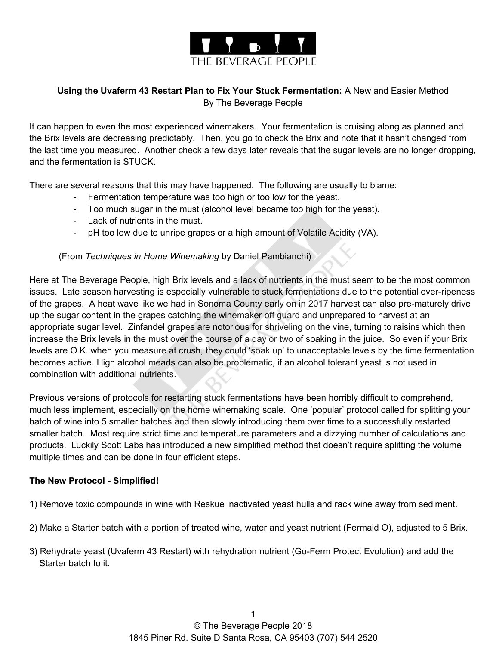

# **Using the Uvaferm 43 Restart Plan to Fix Your Stuck Fermentation:** A New and Easier Method By The Beverage People

It can happen to even the most experienced winemakers. Your fermentation is cruising along as planned and the Brix levels are decreasing predictably. Then, you go to check the Brix and note that it hasn't changed from the last time you measured. Another check a few days later reveals that the sugar levels are no longer dropping, and the fermentation is STUCK.

There are several reasons that this may have happened. The following are usually to blame:

- Fermentation temperature was too high or too low for the yeast.
- Too much sugar in the must (alcohol level became too high for the yeast).
- Lack of nutrients in the must.
- pH too low due to unripe grapes or a high amount of Volatile Acidity (VA).

(From *Techniques in Home Winemaking* by Daniel Pambianchi)

Here at The Beverage People, high Brix levels and a lack of nutrients in the must seem to be the most common issues. Late season harvesting is especially vulnerable to stuck fermentations due to the potential over-ripeness of the grapes. A heat wave like we had in Sonoma County early on in 2017 harvest can also pre-maturely drive up the sugar content in the grapes catching the winemaker off guard and unprepared to harvest at an appropriate sugar level. Zinfandel grapes are notorious for shriveling on the vine, turning to raisins which then increase the Brix levels in the must over the course of a day or two of soaking in the juice. So even if your Brix levels are O.K. when you measure at crush, they could 'soak up' to unacceptable levels by the time fermentation becomes active. High alcohol meads can also be problematic, if an alcohol tolerant yeast is not used in combination with additional nutrients.

Previous versions of protocols for restarting stuck fermentations have been horribly difficult to comprehend, much less implement, especially on the home winemaking scale. One 'popular' protocol called for splitting your batch of wine into 5 smaller batches and then slowly introducing them over time to a successfully restarted smaller batch. Most require strict time and temperature parameters and a dizzying number of calculations and products. Luckily Scott Labs has introduced a new simplified method that doesn't require splitting the volume multiple times and can be done in four efficient steps.

#### **The New Protocol - Simplified!**

1) Remove toxic compounds in wine with Reskue inactivated yeast hulls and rack wine away from sediment.

- 2) Make a Starter batch with a portion of treated wine, water and yeast nutrient (Fermaid O), adjusted to 5 Brix.
- 3) Rehydrate yeast (Uvaferm 43 Restart) with rehydration nutrient (Go-Ferm Protect Evolution) and add the Starter batch to it.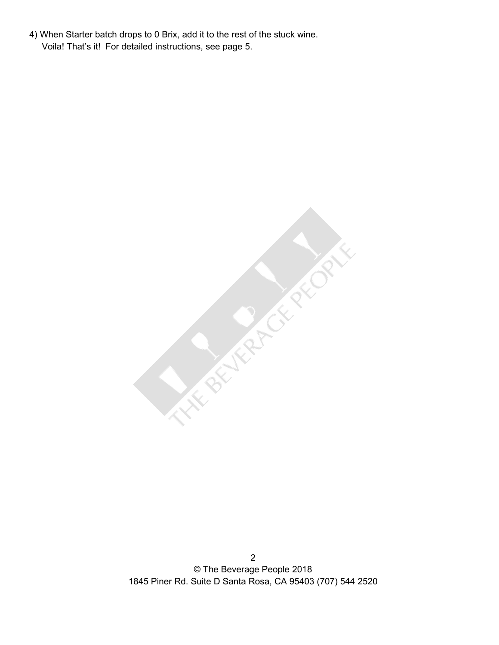4) When Starter batch drops to 0 Brix, add it to the rest of the stuck wine. Voila! That's it! For detailed instructions, see page 5.

**ARTISTICS OF BRIDGE**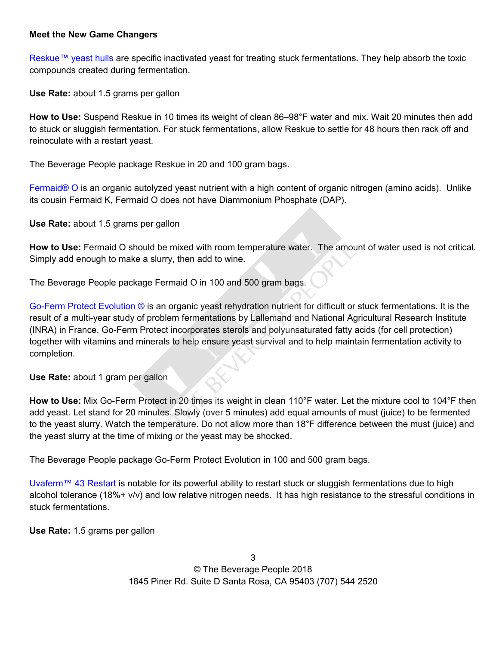#### **Meet the New Game Changers**

Reskue™ yeast hulls are specific inactivated yeast for treating stuck fermentations. They help absorb the toxic compounds created during fermentation.

**Use Rate:** about 1.5 grams per gallon

**How to Use:** Suspend Reskue in 10 times its weight of clean 86–98°F water and mix. Wait 20 minutes then add to stuck or sluggish fermentation. For stuck fermentations, allow Reskue to settle for 48 hours then rack off and reinoculate with a restart yeast.

The Beverage People package Reskue in 20 and 100 gram bags.

Fermaid® O is an organic autolyzed yeast nutrient with a high content of organic nitrogen (amino acids). Unlike its cousin Fermaid K, Fermaid O does not have Diammonium Phosphate (DAP).

**Use Rate:** about 1.5 grams per gallon

**How to Use:** Fermaid O should be mixed with room temperature water. The amount of water used is not critical. Simply add enough to make a slurry, then add to wine.

The Beverage People package Fermaid O in 100 and 500 gram bags.

Go-Ferm Protect Evolution ® is an organic yeast rehydration nutrient for difficult or stuck fermentations. It is the result of a multi-year study of problem fermentations by Lallemand and National Agricultural Research Institute (INRA) in France. Go-Ferm Protect incorporates sterols and polyunsaturated fatty acids (for cell protection) together with vitamins and minerals to help ensure yeast survival and to help maintain fermentation activity to completion.

**Use Rate:** about 1 gram per gallon

**How to Use:** Mix Go-Ferm Protect in 20 times its weight in clean 110°F water. Let the mixture cool to 104°F then add yeast. Let stand for 20 minutes. Slowly (over 5 minutes) add equal amounts of must (juice) to be fermented to the yeast slurry. Watch the temperature. Do not allow more than 18°F difference between the must (juice) and the yeast slurry at the time of mixing or the yeast may be shocked.

The Beverage People package Go-Ferm Protect Evolution in 100 and 500 gram bags.

Uvaferm™ 43 Restart is notable for its powerful ability to restart stuck or sluggish fermentations due to high alcohol tolerance (18%+ v/v) and low relative nitrogen needs. It has high resistance to the stressful conditions in stuck fermentations.

**Use Rate:** 1.5 grams per gallon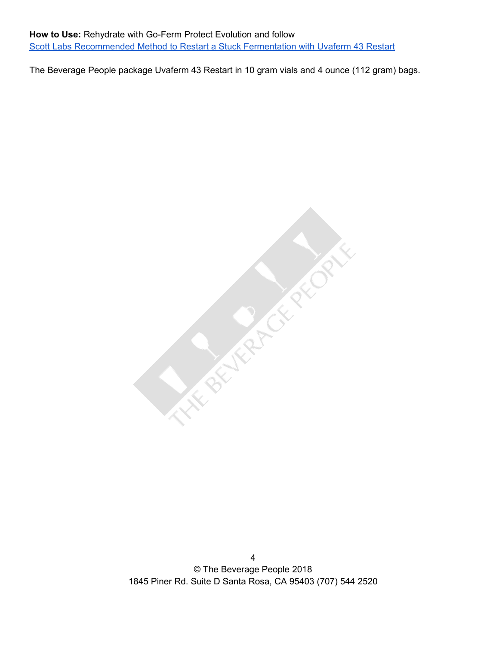## **How to Use:** Rehydrate with Go-Ferm Protect Evolution and follow [Scott Labs Recommended Method to Restart a Stuck Fermentation with Uvaferm 43 Restart](http://www.scottlab.com/uploads/documents/technical-documents/1322/Recommended%20Method%20to%20Restart%20Stuck%20Fermentation%20with%2043Restart%202017.pdf)

The Beverage People package Uvaferm 43 Restart in 10 gram vials and 4 ounce (112 gram) bags.

**ARTISTS OF PROPERTY**